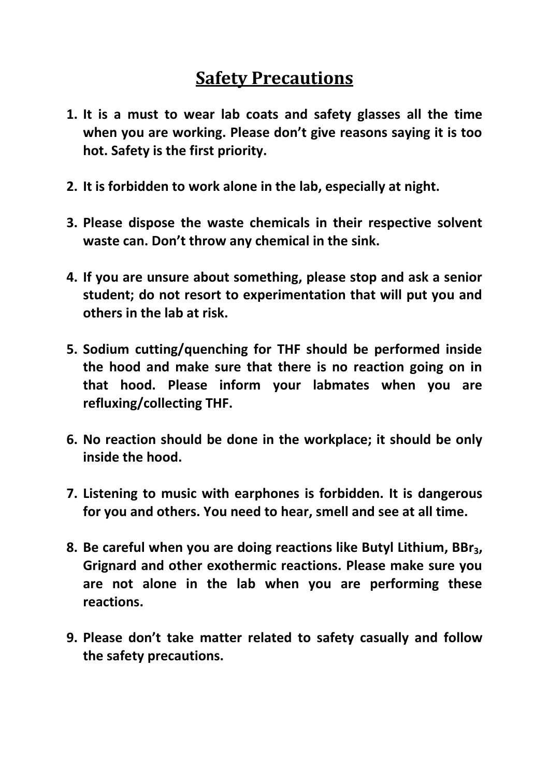## **Safety Precautions**

- **1. It is a must to wear lab coats and safety glasses all the time when you are working. Please don't give reasons saying it is too hot. Safety is the first priority.**
- **2. It is forbidden to work alone in the lab, especially at night.**
- **3. Please dispose the waste chemicals in their respective solvent waste can. Don't throw any chemical in the sink.**
- **4. If you are unsure about something, please stop and ask a senior student; do not resort to experimentation that will put you and others in the lab at risk.**
- **5. Sodium cutting/quenching for THF should be performed inside the hood and make sure that there is no reaction going on in that hood. Please inform your labmates when you are refluxing/collecting THF.**
- **6. No reaction should be done in the workplace; it should be only inside the hood.**
- **7. Listening to music with earphones is forbidden. It is dangerous for you and others. You need to hear, smell and see at all time.**
- **8. Be careful when you are doing reactions like Butyl Lithium, BBr3, Grignard and other exothermic reactions. Please make sure you are not alone in the lab when you are performing these reactions.**
- **9. Please don't take matter related to safety casually and follow the safety precautions.**